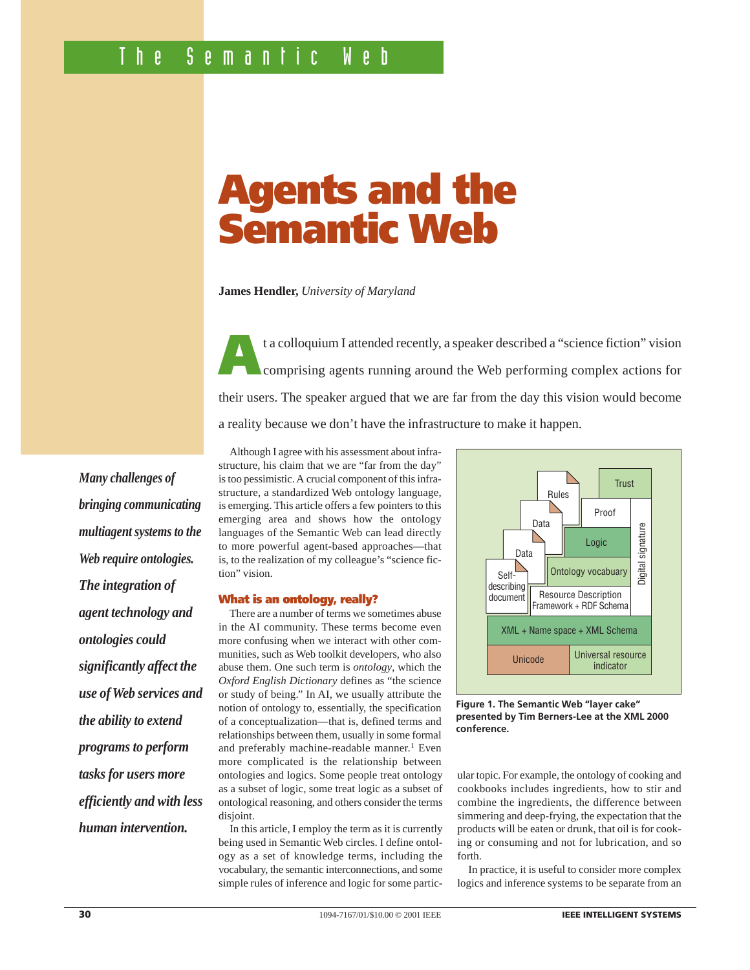# **Agents and the Semantic Web**

**James Hendler,** *University of Maryland*

t a colloquium I attended recently, a speaker described a "science fiction" vision<br>comprising agents running around the Web performing complex actions for their users. The speaker argued that we are far from the day this vision would become a reality because we don't have the infrastructure to make it happen.

*Many challenges of bringing communicating multiagent systems to the Web require ontologies. The integration of agent technology and ontologies could significantly affect the use of Web services and the ability to extend programs to perform tasks for users more efficiently and with less human intervention.*

Although I agree with his assessment about infrastructure, his claim that we are "far from the day" is too pessimistic. A crucial component of this infrastructure, a standardized Web ontology language, is emerging. This article offers a few pointers to this emerging area and shows how the ontology languages of the Semantic Web can lead directly to more powerful agent-based approaches—that is, to the realization of my colleague's "science fiction" vision.

#### **What is an ontology, really?**

There are a number of terms we sometimes abuse in the AI community. These terms become even more confusing when we interact with other communities, such as Web toolkit developers, who also abuse them. One such term is *ontology*, which the *Oxford English Dictionary* defines as "the science or study of being." In AI, we usually attribute the notion of ontology to, essentially, the specification of a conceptualization—that is, defined terms and relationships between them, usually in some formal and preferably machine-readable manner.<sup>1</sup> Even more complicated is the relationship between ontologies and logics. Some people treat ontology as a subset of logic, some treat logic as a subset of ontological reasoning, and others consider the terms disjoint.

In this article, I employ the term as it is currently being used in Semantic Web circles. I define ontology as a set of knowledge terms, including the vocabulary, the semantic interconnections, and some simple rules of inference and logic for some partic-



**Figure 1. The Semantic Web "layer cake" presented by Tim Berners-Lee at the XML 2000 conference.**

ular topic. For example, the ontology of cooking and cookbooks includes ingredients, how to stir and combine the ingredients, the difference between simmering and deep-frying, the expectation that the products will be eaten or drunk, that oil is for cooking or consuming and not for lubrication, and so forth.

In practice, it is useful to consider more complex logics and inference systems to be separate from an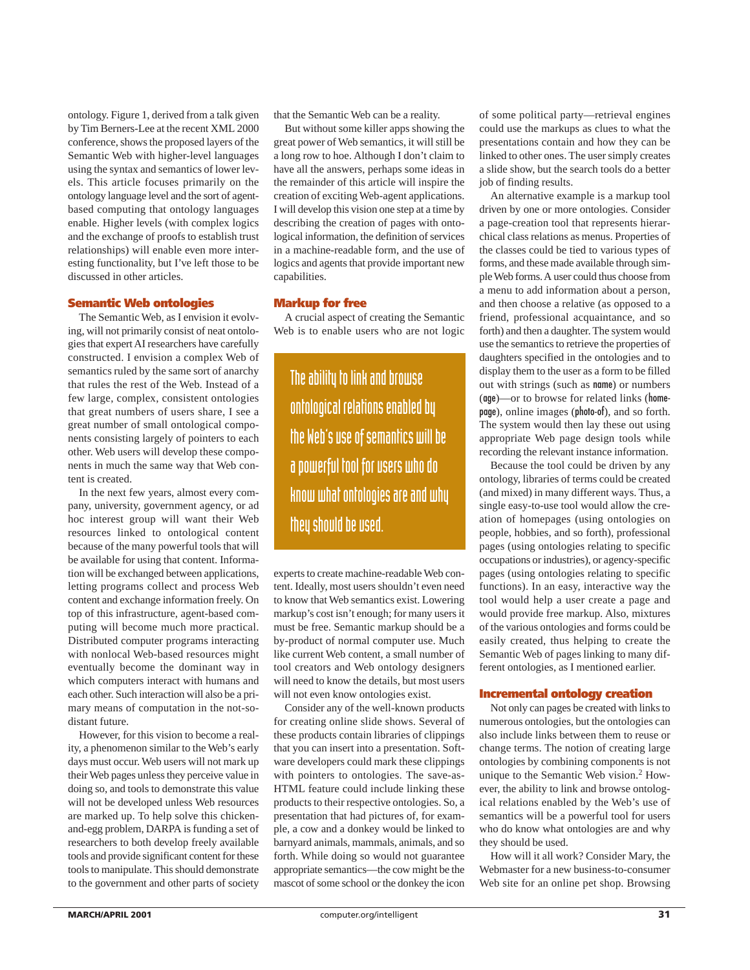ontology. Figure 1, derived from a talk given by Tim Berners-Lee at the recent XML 2000 conference, shows the proposed layers of the Semantic Web with higher-level languages using the syntax and semantics of lower levels. This article focuses primarily on the ontology language level and the sort of agentbased computing that ontology languages enable. Higher levels (with complex logics and the exchange of proofs to establish trust relationships) will enable even more interesting functionality, but I've left those to be discussed in other articles.

#### **Semantic Web ontologies**

The Semantic Web, as I envision it evolving, will not primarily consist of neat ontologies that expert AI researchers have carefully constructed. I envision a complex Web of semantics ruled by the same sort of anarchy that rules the rest of the Web. Instead of a few large, complex, consistent ontologies that great numbers of users share, I see a great number of small ontological components consisting largely of pointers to each other. Web users will develop these components in much the same way that Web content is created.

In the next few years, almost every company, university, government agency, or ad hoc interest group will want their Web resources linked to ontological content because of the many powerful tools that will be available for using that content. Information will be exchanged between applications, letting programs collect and process Web content and exchange information freely. On top of this infrastructure, agent-based computing will become much more practical. Distributed computer programs interacting with nonlocal Web-based resources might eventually become the dominant way in which computers interact with humans and each other. Such interaction will also be a primary means of computation in the not-sodistant future.

However, for this vision to become a reality, a phenomenon similar to the Web's early days must occur. Web users will not mark up their Web pages unless they perceive value in doing so, and tools to demonstrate this value will not be developed unless Web resources are marked up. To help solve this chickenand-egg problem, DARPA is funding a set of researchers to both develop freely available tools and provide significant content for these tools to manipulate. This should demonstrate to the government and other parts of society

that the Semantic Web can be a reality.

But without some killer apps showing the great power of Web semantics, it will still be a long row to hoe. Although I don't claim to have all the answers, perhaps some ideas in the remainder of this article will inspire the creation of exciting Web-agent applications. I will develop this vision one step at a time by describing the creation of pages with ontological information, the definition of services in a machine-readable form, and the use of logics and agents that provide important new capabilities.

#### **Markup for free**

A crucial aspect of creating the Semantic Web is to enable users who are not logic

The ability to link and browse ontological relations enabled by the Web's use of semantics will be a powerful tool for users who do know what ontologies are and why they should be used.

experts to create machine-readable Web content. Ideally, most users shouldn't even need to know that Web semantics exist. Lowering markup's cost isn't enough; for many users it must be free. Semantic markup should be a by-product of normal computer use. Much like current Web content, a small number of tool creators and Web ontology designers will need to know the details, but most users will not even know ontologies exist.

Consider any of the well-known products for creating online slide shows. Several of these products contain libraries of clippings that you can insert into a presentation. Software developers could mark these clippings with pointers to ontologies. The save-as-HTML feature could include linking these products to their respective ontologies. So, a presentation that had pictures of, for example, a cow and a donkey would be linked to barnyard animals, mammals, animals, and so forth. While doing so would not guarantee appropriate semantics—the cow might be the mascot of some school or the donkey the icon

of some political party—retrieval engines could use the markups as clues to what the presentations contain and how they can be linked to other ones. The user simply creates a slide show, but the search tools do a better job of finding results.

An alternative example is a markup tool driven by one or more ontologies. Consider a page-creation tool that represents hierarchical class relations as menus. Properties of the classes could be tied to various types of forms, and these made available through simple Web forms. A user could thus choose from a menu to add information about a person, and then choose a relative (as opposed to a friend, professional acquaintance, and so forth) and then a daughter. The system would use the semantics to retrieve the properties of daughters specified in the ontologies and to display them to the user as a form to be filled out with strings (such as name) or numbers (age)—or to browse for related links (homepage), online images (photo-of), and so forth. The system would then lay these out using appropriate Web page design tools while recording the relevant instance information.

Because the tool could be driven by any ontology, libraries of terms could be created (and mixed) in many different ways. Thus, a single easy-to-use tool would allow the creation of homepages (using ontologies on people, hobbies, and so forth), professional pages (using ontologies relating to specific occupations or industries), or agency-specific pages (using ontologies relating to specific functions). In an easy, interactive way the tool would help a user create a page and would provide free markup. Also, mixtures of the various ontologies and forms could be easily created, thus helping to create the Semantic Web of pages linking to many different ontologies, as I mentioned earlier.

#### **Incremental ontology creation**

Not only can pages be created with links to numerous ontologies, but the ontologies can also include links between them to reuse or change terms. The notion of creating large ontologies by combining components is not unique to the Semantic Web vision.2 However, the ability to link and browse ontological relations enabled by the Web's use of semantics will be a powerful tool for users who do know what ontologies are and why they should be used.

How will it all work? Consider Mary, the Webmaster for a new business-to-consumer Web site for an online pet shop. Browsing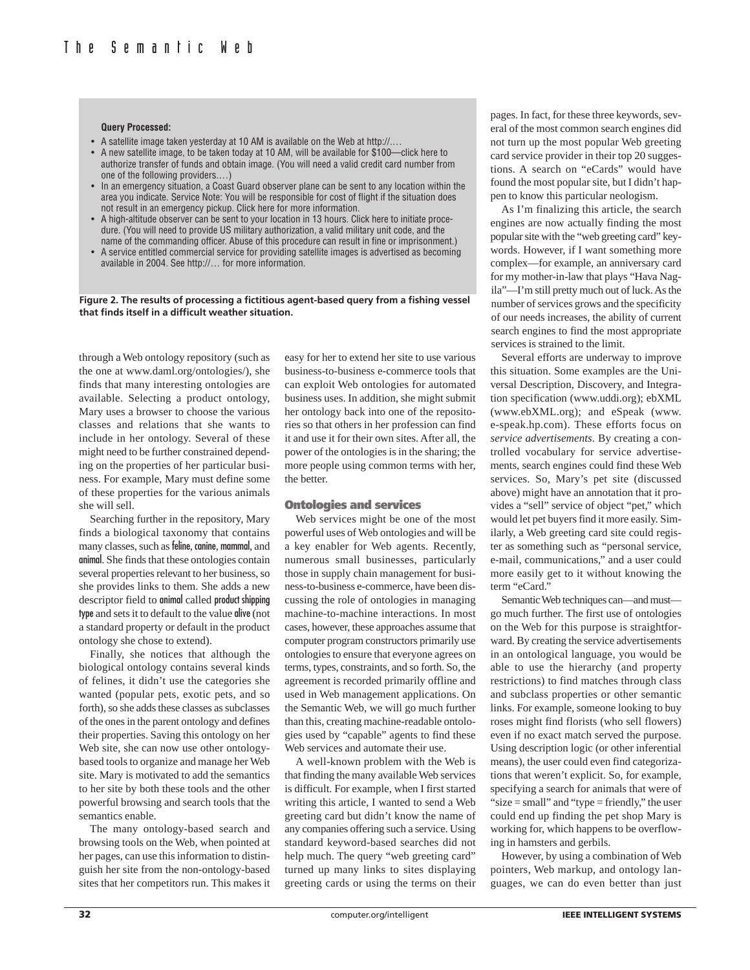#### **Query Processed:**

- A satellite image taken yesterday at 10 AM is available on the Web at http://.…
- A new satellite image, to be taken today at 10 AM, will be available for \$100—click here to authorize transfer of funds and obtain image. (You will need a valid credit card number from one of the following providers.…)
- In an emergency situation, a Coast Guard observer plane can be sent to any location within the area you indicate. Service Note: You will be responsible for cost of flight if the situation does not result in an emergency pickup. Click here for more information.
- A high-altitude observer can be sent to your location in 13 hours. Click here to initiate procedure. (You will need to provide US military authorization, a valid military unit code, and the name of the commanding officer. Abuse of this procedure can result in fine or imprisonment.)
- A service entitled commercial service for providing satellite images is advertised as becoming available in 2004. See http://… for more information.

**Figure 2. The results of processing a fictitious agent-based query from a fishing vessel that finds itself in a difficult weather situation.**

through a Web ontology repository (such as the one at www.daml.org/ontologies/), she finds that many interesting ontologies are available. Selecting a product ontology, Mary uses a browser to choose the various classes and relations that she wants to include in her ontology. Several of these might need to be further constrained depending on the properties of her particular business. For example, Mary must define some of these properties for the various animals she will sell.

Searching further in the repository, Mary finds a biological taxonomy that contains many classes, such as feline, canine, mammal, and animal. She finds that these ontologies contain several properties relevant to her business, so she provides links to them. She adds a new descriptor field to animal called product shipping type and sets it to default to the value alive (not a standard property or default in the product ontology she chose to extend).

Finally, she notices that although the biological ontology contains several kinds of felines, it didn't use the categories she wanted (popular pets, exotic pets, and so forth), so she adds these classes as subclasses of the ones in the parent ontology and defines their properties. Saving this ontology on her Web site, she can now use other ontologybased tools to organize and manage her Web site. Mary is motivated to add the semantics to her site by both these tools and the other powerful browsing and search tools that the semantics enable.

The many ontology-based search and browsing tools on the Web, when pointed at her pages, can use this information to distinguish her site from the non-ontology-based sites that her competitors run. This makes it easy for her to extend her site to use various business-to-business e-commerce tools that can exploit Web ontologies for automated business uses. In addition, she might submit her ontology back into one of the repositories so that others in her profession can find it and use it for their own sites. After all, the power of the ontologies is in the sharing; the more people using common terms with her, the better.

#### **Ontologies and services**

Web services might be one of the most powerful uses of Web ontologies and will be a key enabler for Web agents. Recently, numerous small businesses, particularly those in supply chain management for business-to-business e-commerce, have been discussing the role of ontologies in managing machine-to-machine interactions. In most cases, however, these approaches assume that computer program constructors primarily use ontologies to ensure that everyone agrees on terms, types, constraints, and so forth. So, the agreement is recorded primarily offline and used in Web management applications. On the Semantic Web, we will go much further than this, creating machine-readable ontologies used by "capable" agents to find these Web services and automate their use.

A well-known problem with the Web is that finding the many available Web services is difficult. For example, when I first started writing this article, I wanted to send a Web greeting card but didn't know the name of any companies offering such a service. Using standard keyword-based searches did not help much. The query "web greeting card" turned up many links to sites displaying greeting cards or using the terms on their

pages. In fact, for these three keywords, several of the most common search engines did not turn up the most popular Web greeting card service provider in their top 20 suggestions. A search on "eCards" would have found the most popular site, but I didn't happen to know this particular neologism.

As I'm finalizing this article, the search engines are now actually finding the most popular site with the "web greeting card" keywords. However, if I want something more complex—for example, an anniversary card for my mother-in-law that plays "Hava Nagila"—I'm still pretty much out of luck. As the number of services grows and the specificity of our needs increases, the ability of current search engines to find the most appropriate services is strained to the limit.

Several efforts are underway to improve this situation. Some examples are the Universal Description, Discovery, and Integration specification (www.uddi.org); ebXML (www.ebXML.org); and eSpeak (www. e-speak.hp.com). These efforts focus on *service advertisements*. By creating a controlled vocabulary for service advertisements, search engines could find these Web services. So, Mary's pet site (discussed above) might have an annotation that it provides a "sell" service of object "pet," which would let pet buyers find it more easily. Similarly, a Web greeting card site could register as something such as "personal service, e-mail, communications," and a user could more easily get to it without knowing the term "eCard."

Semantic Web techniques can—and must go much further. The first use of ontologies on the Web for this purpose is straightforward. By creating the service advertisements in an ontological language, you would be able to use the hierarchy (and property restrictions) to find matches through class and subclass properties or other semantic links. For example, someone looking to buy roses might find florists (who sell flowers) even if no exact match served the purpose. Using description logic (or other inferential means), the user could even find categorizations that weren't explicit. So, for example, specifying a search for animals that were of "size = small" and "type = friendly," the user could end up finding the pet shop Mary is working for, which happens to be overflowing in hamsters and gerbils.

However, by using a combination of Web pointers, Web markup, and ontology languages, we can do even better than just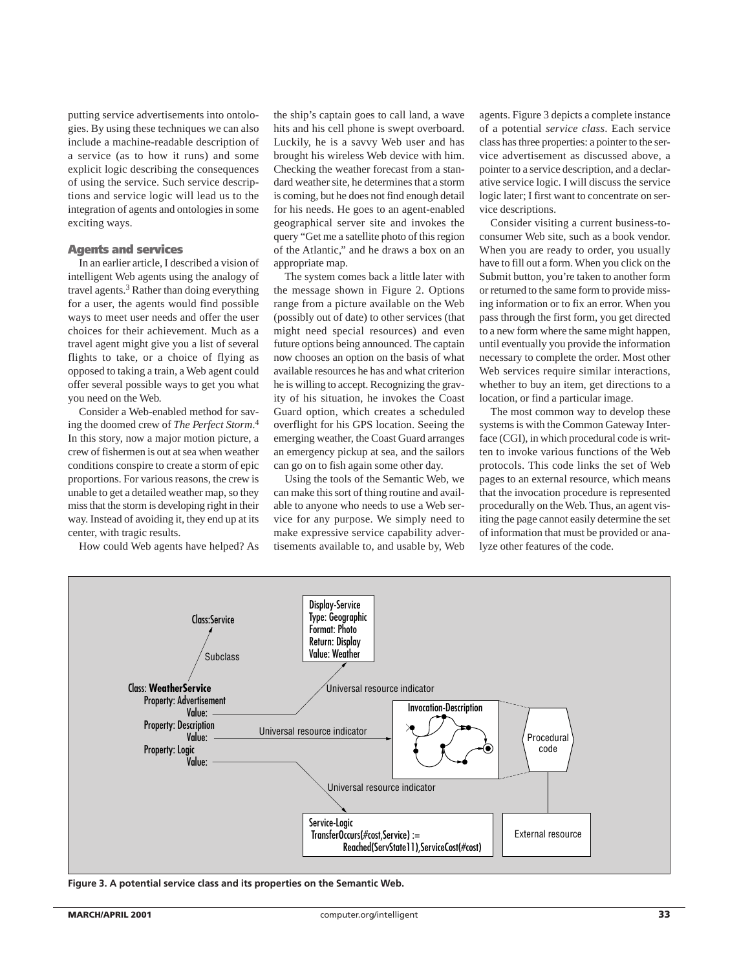putting service advertisements into ontologies. By using these techniques we can also include a machine-readable description of a service (as to how it runs) and some explicit logic describing the consequences of using the service. Such service descriptions and service logic will lead us to the integration of agents and ontologies in some exciting ways.

#### **Agents and services**

In an earlier article, I described a vision of intelligent Web agents using the analogy of travel agents.3 Rather than doing everything for a user, the agents would find possible ways to meet user needs and offer the user choices for their achievement. Much as a travel agent might give you a list of several flights to take, or a choice of flying as opposed to taking a train, a Web agent could offer several possible ways to get you what you need on the Web.

Consider a Web-enabled method for saving the doomed crew of *The Perfect Storm*. 4 In this story, now a major motion picture, a crew of fishermen is out at sea when weather conditions conspire to create a storm of epic proportions. For various reasons, the crew is unable to get a detailed weather map, so they miss that the storm is developing right in their way. Instead of avoiding it, they end up at its center, with tragic results.

How could Web agents have helped? As

the ship's captain goes to call land, a wave hits and his cell phone is swept overboard. Luckily, he is a savvy Web user and has brought his wireless Web device with him. Checking the weather forecast from a standard weather site, he determines that a storm is coming, but he does not find enough detail for his needs. He goes to an agent-enabled geographical server site and invokes the query "Get me a satellite photo of this region of the Atlantic," and he draws a box on an appropriate map.

The system comes back a little later with the message shown in Figure 2. Options range from a picture available on the Web (possibly out of date) to other services (that might need special resources) and even future options being announced. The captain now chooses an option on the basis of what available resources he has and what criterion he is willing to accept. Recognizing the gravity of his situation, he invokes the Coast Guard option, which creates a scheduled overflight for his GPS location. Seeing the emerging weather, the Coast Guard arranges an emergency pickup at sea, and the sailors can go on to fish again some other day.

Using the tools of the Semantic Web, we can make this sort of thing routine and available to anyone who needs to use a Web service for any purpose. We simply need to make expressive service capability advertisements available to, and usable by, Web

agents. Figure 3 depicts a complete instance of a potential *service class*. Each service class has three properties: a pointer to the service advertisement as discussed above, a pointer to a service description, and a declarative service logic. I will discuss the service logic later; I first want to concentrate on service descriptions.

Consider visiting a current business-toconsumer Web site, such as a book vendor. When you are ready to order, you usually have to fill out a form. When you click on the Submit button, you're taken to another form or returned to the same form to provide missing information or to fix an error. When you pass through the first form, you get directed to a new form where the same might happen, until eventually you provide the information necessary to complete the order. Most other Web services require similar interactions, whether to buy an item, get directions to a location, or find a particular image.

The most common way to develop these systems is with the Common Gateway Interface (CGI), in which procedural code is written to invoke various functions of the Web protocols. This code links the set of Web pages to an external resource, which means that the invocation procedure is represented procedurally on the Web. Thus, an agent visiting the page cannot easily determine the set of information that must be provided or analyze other features of the code.



**Figure 3. A potential service class and its properties on the Semantic Web.**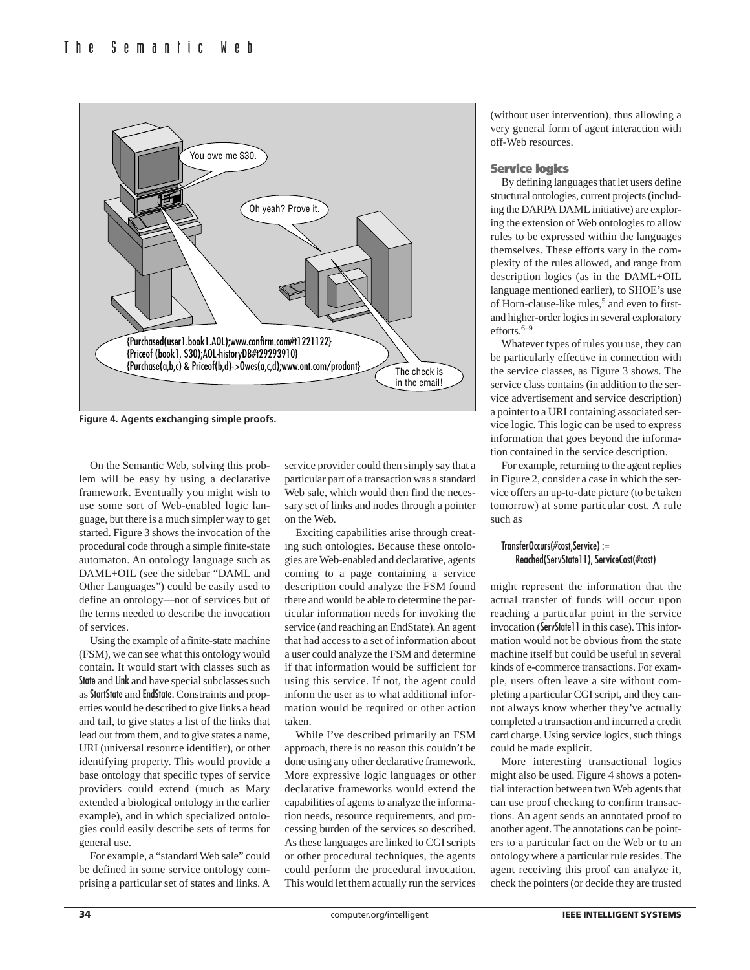

**Figure 4. Agents exchanging simple proofs.**

On the Semantic Web, solving this problem will be easy by using a declarative framework. Eventually you might wish to use some sort of Web-enabled logic language, but there is a much simpler way to get started. Figure 3 shows the invocation of the procedural code through a simple finite-state automaton. An ontology language such as DAML+OIL (see the sidebar "DAML and Other Languages") could be easily used to define an ontology—not of services but of the terms needed to describe the invocation of services.

Using the example of a finite-state machine (FSM), we can see what this ontology would contain. It would start with classes such as State and Link and have special subclasses such as StartState and EndState. Constraints and properties would be described to give links a head and tail*,* to give states a list of the links that lead out from them, and to give states a name, URI (universal resource identifier), or other identifying property. This would provide a base ontology that specific types of service providers could extend (much as Mary extended a biological ontology in the earlier example), and in which specialized ontologies could easily describe sets of terms for general use.

For example, a "standard Web sale" could be defined in some service ontology comprising a particular set of states and links. A

service provider could then simply say that a particular part of a transaction was a standard Web sale, which would then find the necessary set of links and nodes through a pointer on the Web.

Exciting capabilities arise through creating such ontologies. Because these ontologies are Web-enabled and declarative, agents coming to a page containing a service description could analyze the FSM found there and would be able to determine the particular information needs for invoking the service (and reaching an EndState). An agent that had access to a set of information about a user could analyze the FSM and determine if that information would be sufficient for using this service. If not, the agent could inform the user as to what additional information would be required or other action taken.

While I've described primarily an FSM approach, there is no reason this couldn't be done using any other declarative framework. More expressive logic languages or other declarative frameworks would extend the capabilities of agents to analyze the information needs, resource requirements, and processing burden of the services so described. As these languages are linked to CGI scripts or other procedural techniques, the agents could perform the procedural invocation. This would let them actually run the services

(without user intervention), thus allowing a very general form of agent interaction with off-Web resources.

#### **Service logics**

By defining languages that let users define structural ontologies, current projects (including the DARPA DAML initiative) are exploring the extension of Web ontologies to allow rules to be expressed within the languages themselves. These efforts vary in the complexity of the rules allowed, and range from description logics (as in the DAML+OIL language mentioned earlier), to SHOE's use of Horn-clause-like rules,<sup>5</sup> and even to firstand higher-order logics in several exploratory efforts.6–9

Whatever types of rules you use, they can be particularly effective in connection with the service classes, as Figure 3 shows. The service class contains (in addition to the service advertisement and service description) a pointer to a URI containing associated service logic. This logic can be used to express information that goes beyond the information contained in the service description.

For example, returning to the agent replies in Figure 2, consider a case in which the service offers an up-to-date picture (to be taken tomorrow) at some particular cost. A rule such as

#### TransferOccurs(#cost,Service) := Reached(ServState11), ServiceCost(#cost)

might represent the information that the actual transfer of funds will occur upon reaching a particular point in the service invocation (ServState11 in this case). This information would not be obvious from the state machine itself but could be useful in several kinds of e-commerce transactions. For example, users often leave a site without completing a particular CGI script, and they cannot always know whether they've actually completed a transaction and incurred a credit card charge. Using service logics, such things could be made explicit.

More interesting transactional logics might also be used. Figure 4 shows a potential interaction between two Web agents that can use proof checking to confirm transactions. An agent sends an annotated proof to another agent. The annotations can be pointers to a particular fact on the Web or to an ontology where a particular rule resides. The agent receiving this proof can analyze it, check the pointers (or decide they are trusted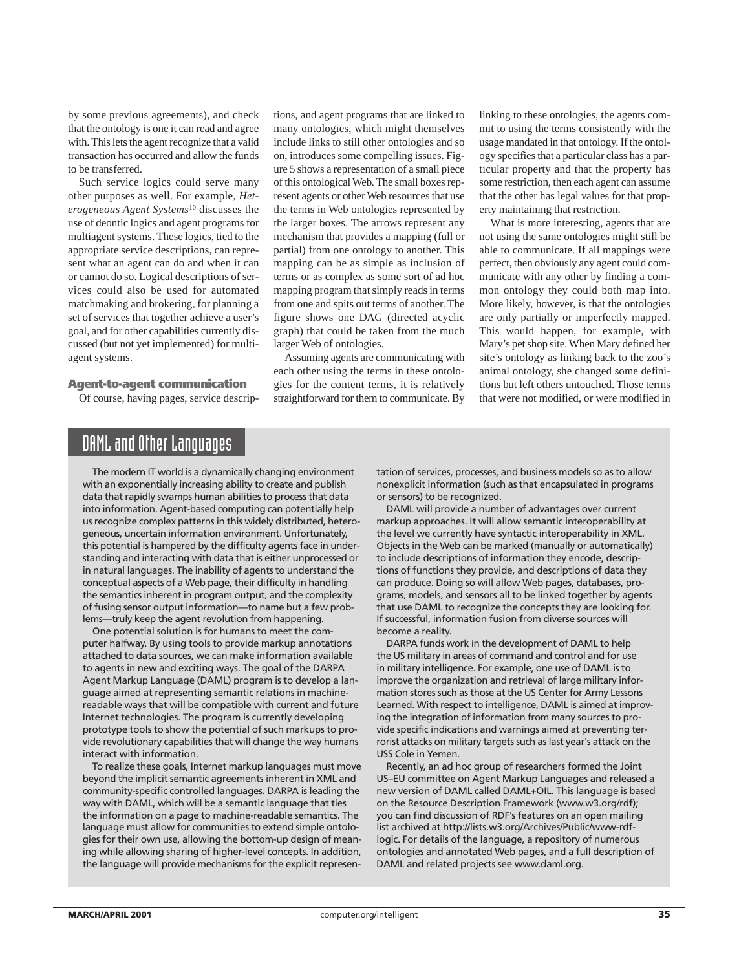by some previous agreements), and check that the ontology is one it can read and agree with. This lets the agent recognize that a valid transaction has occurred and allow the funds to be transferred.

Such service logics could serve many other purposes as well. For example, *Heterogeneous Agent Systems*<sup>10</sup> discusses the use of deontic logics and agent programs for multiagent systems. These logics, tied to the appropriate service descriptions, can represent what an agent can do and when it can or cannot do so. Logical descriptions of services could also be used for automated matchmaking and brokering, for planning a set of services that together achieve a user's goal, and for other capabilities currently discussed (but not yet implemented) for multiagent systems.

#### **Agent-to-agent communication**

Of course, having pages, service descrip-

tions, and agent programs that are linked to many ontologies, which might themselves include links to still other ontologies and so on, introduces some compelling issues. Figure 5 shows a representation of a small piece of this ontological Web. The small boxes represent agents or other Web resources that use the terms in Web ontologies represented by the larger boxes. The arrows represent any mechanism that provides a mapping (full or partial) from one ontology to another. This mapping can be as simple as inclusion of terms or as complex as some sort of ad hoc mapping program that simply reads in terms from one and spits out terms of another. The figure shows one DAG (directed acyclic graph) that could be taken from the much larger Web of ontologies.

Assuming agents are communicating with each other using the terms in these ontologies for the content terms, it is relatively straightforward for them to communicate. By

linking to these ontologies, the agents commit to using the terms consistently with the usage mandated in that ontology. If the ontology specifies that a particular class has a particular property and that the property has some restriction, then each agent can assume that the other has legal values for that property maintaining that restriction.

What is more interesting, agents that are not using the same ontologies might still be able to communicate. If all mappings were perfect, then obviously any agent could communicate with any other by finding a common ontology they could both map into. More likely, however, is that the ontologies are only partially or imperfectly mapped. This would happen, for example, with Mary's pet shop site. When Mary defined her site's ontology as linking back to the zoo's animal ontology, she changed some definitions but left others untouched. Those terms that were not modified, or were modified in

## DAML and Other Languages

The modern IT world is a dynamically changing environment with an exponentially increasing ability to create and publish data that rapidly swamps human abilities to process that data into information. Agent-based computing can potentially help us recognize complex patterns in this widely distributed, heterogeneous, uncertain information environment. Unfortunately, this potential is hampered by the difficulty agents face in understanding and interacting with data that is either unprocessed or in natural languages. The inability of agents to understand the conceptual aspects of a Web page, their difficulty in handling the semantics inherent in program output, and the complexity of fusing sensor output information—to name but a few problems—truly keep the agent revolution from happening.

One potential solution is for humans to meet the computer halfway. By using tools to provide markup annotations attached to data sources, we can make information available to agents in new and exciting ways. The goal of the DARPA Agent Markup Language (DAML) program is to develop a language aimed at representing semantic relations in machinereadable ways that will be compatible with current and future Internet technologies. The program is currently developing prototype tools to show the potential of such markups to provide revolutionary capabilities that will change the way humans interact with information.

To realize these goals, Internet markup languages must move beyond the implicit semantic agreements inherent in XML and community-specific controlled languages. DARPA is leading the way with DAML, which will be a semantic language that ties the information on a page to machine-readable semantics. The language must allow for communities to extend simple ontologies for their own use, allowing the bottom-up design of meaning while allowing sharing of higher-level concepts. In addition, the language will provide mechanisms for the explicit represen-

tation of services, processes, and business models so as to allow nonexplicit information (such as that encapsulated in programs or sensors) to be recognized.

DAML will provide a number of advantages over current markup approaches. It will allow semantic interoperability at the level we currently have syntactic interoperability in XML. Objects in the Web can be marked (manually or automatically) to include descriptions of information they encode, descriptions of functions they provide, and descriptions of data they can produce. Doing so will allow Web pages, databases, programs, models, and sensors all to be linked together by agents that use DAML to recognize the concepts they are looking for. If successful, information fusion from diverse sources will become a reality.

DARPA funds work in the development of DAML to help the US military in areas of command and control and for use in military intelligence. For example, one use of DAML is to improve the organization and retrieval of large military information stores such as those at the US Center for Army Lessons Learned. With respect to intelligence, DAML is aimed at improving the integration of information from many sources to provide specific indications and warnings aimed at preventing terrorist attacks on military targets such as last year's attack on the USS Cole in Yemen.

Recently, an ad hoc group of researchers formed the Joint US–EU committee on Agent Markup Languages and released a new version of DAML called DAML+OIL. This language is based on the Resource Description Framework (www.w3.org/rdf); you can find discussion of RDF's features on an open mailing list archived at http://lists.w3.org/Archives/Public/www-rdflogic. For details of the language, a repository of numerous ontologies and annotated Web pages, and a full description of DAML and related projects see www.daml.org.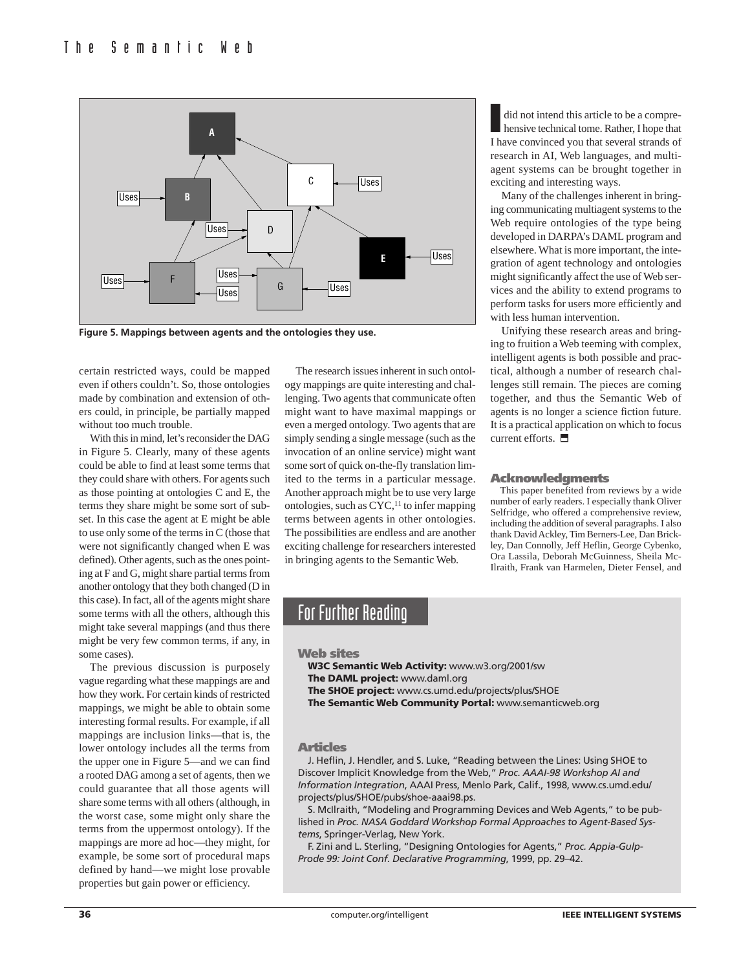

**Figure 5. Mappings between agents and the ontologies they use.**

certain restricted ways, could be mapped even if others couldn't. So, those ontologies made by combination and extension of others could, in principle, be partially mapped without too much trouble.

With this in mind, let's reconsider the DAG in Figure 5. Clearly, many of these agents could be able to find at least some terms that they could share with others. For agents such as those pointing at ontologies C and E, the terms they share might be some sort of subset. In this case the agent at E might be able to use only some of the terms in C (those that were not significantly changed when E was defined). Other agents, such as the ones pointing at F and G, might share partial terms from another ontology that they both changed (D in this case). In fact, all of the agents might share some terms with all the others, although this might take several mappings (and thus there might be very few common terms, if any, in some cases).

The previous discussion is purposely vague regarding what these mappings are and how they work. For certain kinds of restricted mappings, we might be able to obtain some interesting formal results. For example, if all mappings are inclusion links—that is, the lower ontology includes all the terms from the upper one in Figure 5—and we can find a rooted DAG among a set of agents, then we could guarantee that all those agents will share some terms with all others (although, in the worst case, some might only share the terms from the uppermost ontology). If the mappings are more ad hoc—they might, for example, be some sort of procedural maps defined by hand—we might lose provable properties but gain power or efficiency.

The research issues inherent in such ontology mappings are quite interesting and challenging. Two agents that communicate often might want to have maximal mappings or even a merged ontology. Two agents that are simply sending a single message (such as the invocation of an online service) might want some sort of quick on-the-fly translation limited to the terms in a particular message. Another approach might be to use very large ontologies, such as CYC,<sup>11</sup> to infer mapping terms between agents in other ontologies. The possibilities are endless and are another exciting challenge for researchers interested in bringing agents to the Semantic Web.

did not intend this article to be a comprehensive technical tome. Rather, I hope that I have convinced you that several strands of research in AI, Web languages, and multiagent systems can be brought together in exciting and interesting ways.

Many of the challenges inherent in bringing communicating multiagent systems to the Web require ontologies of the type being developed in DARPA's DAML program and elsewhere. What is more important, the integration of agent technology and ontologies might significantly affect the use of Web services and the ability to extend programs to perform tasks for users more efficiently and with less human intervention.

Unifying these research areas and bringing to fruition a Web teeming with complex, intelligent agents is both possible and practical, although a number of research challenges still remain. The pieces are coming together, and thus the Semantic Web of agents is no longer a science fiction future. It is a practical application on which to focus current efforts.  $\Box$ 

#### **Acknowledgments**

This paper benefited from reviews by a wide number of early readers. I especially thank Oliver Selfridge, who offered a comprehensive review, including the addition of several paragraphs. I also thank David Ackley, Tim Berners-Lee, Dan Brickley, Dan Connolly, Jeff Heflin, George Cybenko, Ora Lassila, Deborah McGuinness, Sheila Mc-Ilraith, Frank van Harmelen, Dieter Fensel, and

## For Further Reading

**Web sites**

**W3C Semantic Web Activity:** www.w3.org/2001/sw

- **The DAML project:** www.daml.org
- **The SHOE project:** www.cs.umd.edu/projects/plus/SHOE
- **The Semantic Web Community Portal:** www.semanticweb.org

#### **Articles**

J. Heflin, J. Hendler, and S. Luke, "Reading between the Lines: Using SHOE to Discover Implicit Knowledge from the Web," *Proc. AAAI-98 Workshop AI and Information Integration*, AAAI Press, Menlo Park, Calif., 1998, www.cs.umd.edu/ projects/plus/SHOE/pubs/shoe-aaai98.ps.

S. McIlraith, "Modeling and Programming Devices and Web Agents," to be published in *Proc. NASA Goddard Workshop Formal Approaches to Agent-Based Systems*, Springer-Verlag, New York.

F. Zini and L. Sterling, "Designing Ontologies for Agents," *Proc. Appia-Gulp-Prode 99: Joint Conf. Declarative Programming*, 1999, pp. 29–42.